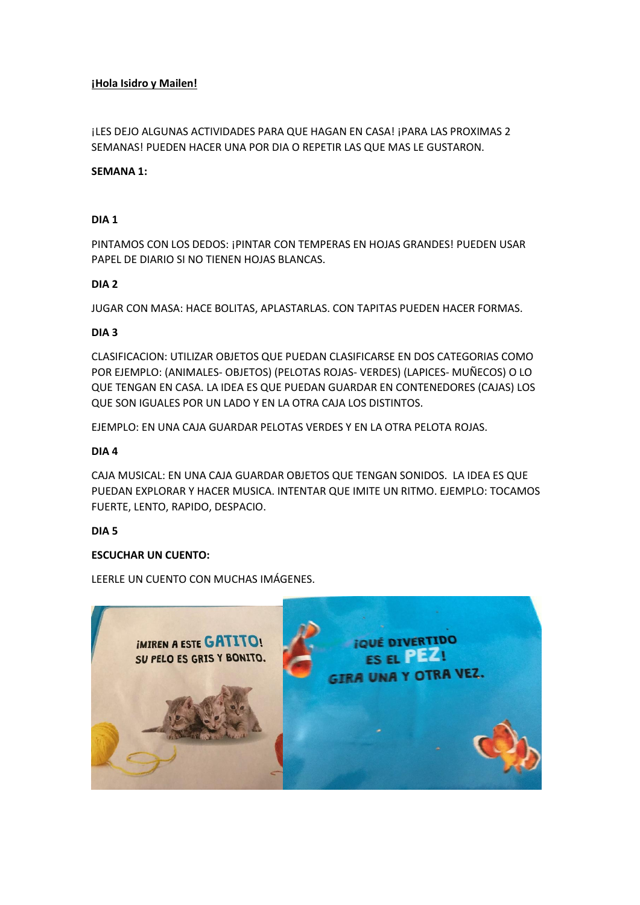## **¡Hola Isidro y Mailen!**

# ¡LES DEJO ALGUNAS ACTIVIDADES PARA QUE HAGAN EN CASA! ¡PARA LAS PROXIMAS 2 SEMANAS! PUEDEN HACER UNA POR DIA O REPETIR LAS QUE MAS LE GUSTARON.

#### **SEMANA 1:**

## **DIA 1**

PINTAMOS CON LOS DEDOS: ¡PINTAR CON TEMPERAS EN HOJAS GRANDES! PUEDEN USAR PAPEL DE DIARIO SI NO TIENEN HOJAS BLANCAS.

### **DIA 2**

JUGAR CON MASA: HACE BOLITAS, APLASTARLAS. CON TAPITAS PUEDEN HACER FORMAS.

### **DIA 3**

CLASIFICACION: UTILIZAR OBJETOS QUE PUEDAN CLASIFICARSE EN DOS CATEGORIAS COMO POR EJEMPLO: (ANIMALES- OBJETOS) (PELOTAS ROJAS- VERDES) (LAPICES- MUÑECOS) O LO QUE TENGAN EN CASA. LA IDEA ES QUE PUEDAN GUARDAR EN CONTENEDORES (CAJAS) LOS QUE SON IGUALES POR UN LADO Y EN LA OTRA CAJA LOS DISTINTOS.

EJEMPLO: EN UNA CAJA GUARDAR PELOTAS VERDES Y EN LA OTRA PELOTA ROJAS.

#### **DIA 4**

CAJA MUSICAL: EN UNA CAJA GUARDAR OBJETOS QUE TENGAN SONIDOS. LA IDEA ES QUE PUEDAN EXPLORAR Y HACER MUSICA. INTENTAR QUE IMITE UN RITMO. EJEMPLO: TOCAMOS FUERTE, LENTO, RAPIDO, DESPACIO.

#### **DIA 5**

## **ESCUCHAR UN CUENTO:**

LEERLE UN CUENTO CON MUCHAS IMÁGENES.

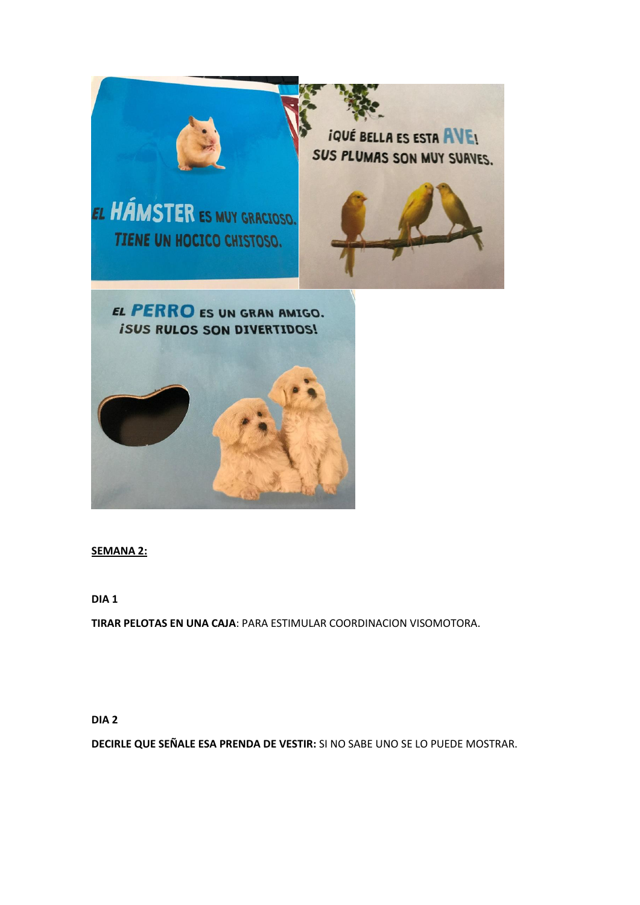

# **SEMANA 2:**

**DIA 1**

**TIRAR PELOTAS EN UNA CAJA**: PARA ESTIMULAR COORDINACION VISOMOTORA.

**DIA 2**

**DECIRLE QUE SEÑALE ESA PRENDA DE VESTIR:** SI NO SABE UNO SE LO PUEDE MOSTRAR.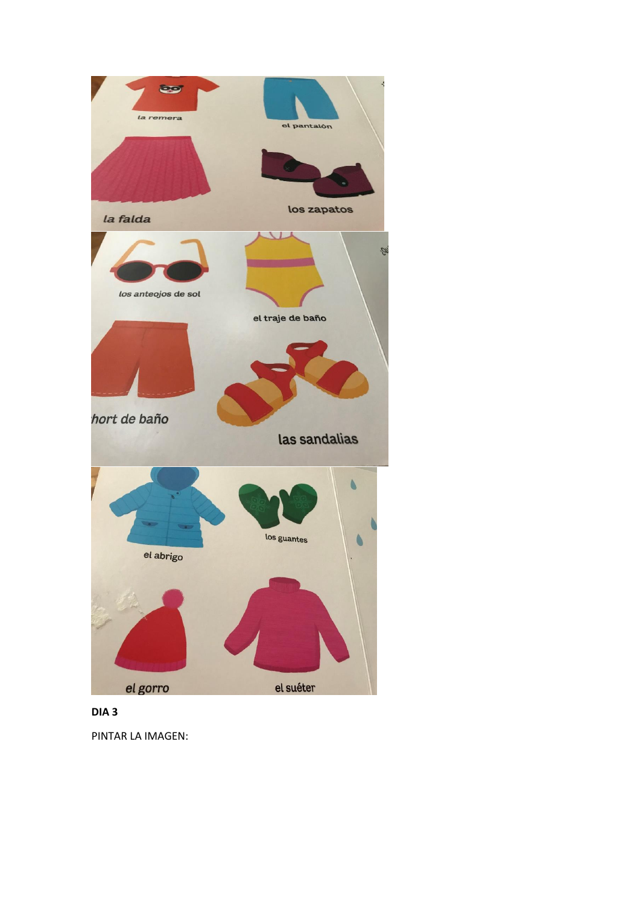



PINTAR LA IMAGEN: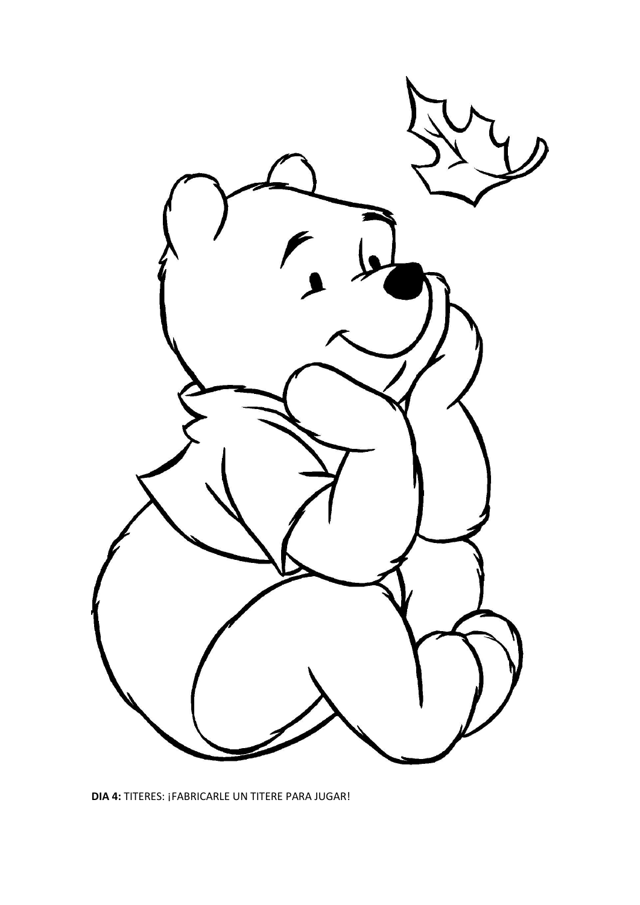

DIA 4: TITERES: ¡FABRICARLE UN TITERE PARA JUGAR!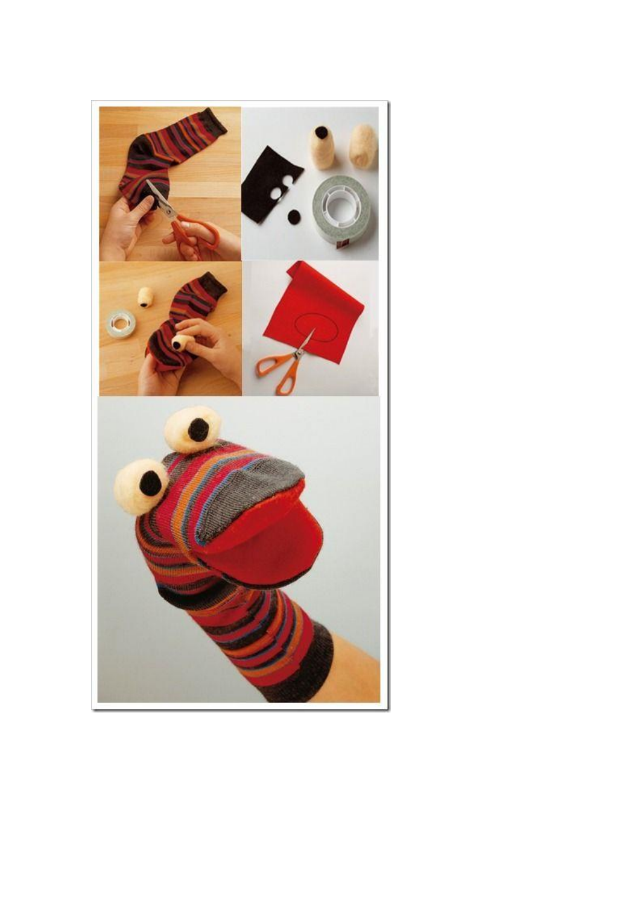